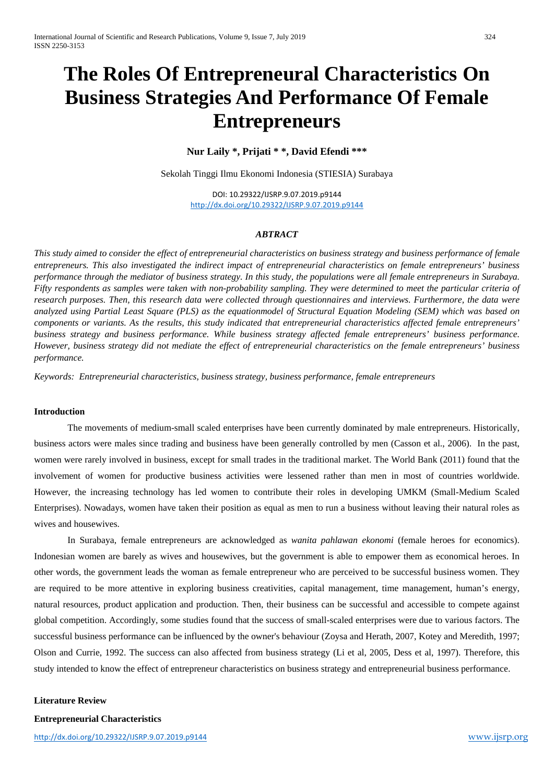# **The Roles Of Entrepreneural Characteristics On Business Strategies And Performance Of Female Entrepreneurs**

# **Nur Laily \*, Prijati \* \*, David Efendi \*\*\***

Sekolah Tinggi Ilmu Ekonomi Indonesia (STIESIA) Surabaya

DOI: 10.29322/IJSRP.9.07.2019.p9144 <http://dx.doi.org/10.29322/IJSRP.9.07.2019.p9144>

## *ABTRACT*

*This study aimed to consider the effect of entrepreneurial characteristics on business strategy and business performance of female entrepreneurs. This also investigated the indirect impact of entrepreneurial characteristics on female entrepreneurs' business performance through the mediator of business strategy. In this study, the populations were all female entrepreneurs in Surabaya. Fifty respondents as samples were taken with non-probability sampling. They were determined to meet the particular criteria of research purposes. Then, this research data were collected through questionnaires and interviews. Furthermore, the data were analyzed using Partial Least Square (PLS) as the equationmodel of Structural Equation Modeling (SEM) which was based on components or variants. As the results, this study indicated that entrepreneurial characteristics affected female entrepreneurs' business strategy and business performance. While business strategy affected female entrepreneurs' business performance. However, business strategy did not mediate the effect of entrepreneurial characteristics on the female entrepreneurs' business performance.*

*Keywords: Entrepreneurial characteristics, business strategy, business performance, female entrepreneurs*

# **Introduction**

The movements of medium-small scaled enterprises have been currently dominated by male entrepreneurs. Historically, business actors were males since trading and business have been generally controlled by men (Casson et al., 2006). In the past, women were rarely involved in business, except for small trades in the traditional market. The World Bank (2011) found that the involvement of women for productive business activities were lessened rather than men in most of countries worldwide. However, the increasing technology has led women to contribute their roles in developing UMKM (Small-Medium Scaled Enterprises). Nowadays, women have taken their position as equal as men to run a business without leaving their natural roles as wives and housewives.

In Surabaya, female entrepreneurs are acknowledged as *wanita pahlawan ekonomi* (female heroes for economics). Indonesian women are barely as wives and housewives, but the government is able to empower them as economical heroes. In other words, the government leads the woman as female entrepreneur who are perceived to be successful business women. They are required to be more attentive in exploring business creativities, capital management, time management, human's energy, natural resources, product application and production. Then, their business can be successful and accessible to compete against global competition. Accordingly, some studies found that the success of small-scaled enterprises were due to various factors. The successful business performance can be influenced by the owner's behaviour (Zoysa and Herath, 2007, Kotey and Meredith, 1997; Olson and Currie, 1992. The success can also affected from business strategy (Li et al, 2005, Dess et al, 1997). Therefore, this study intended to know the effect of entrepreneur characteristics on business strategy and entrepreneurial business performance.

#### **Literature Review**

**Entrepreneurial Characteristics**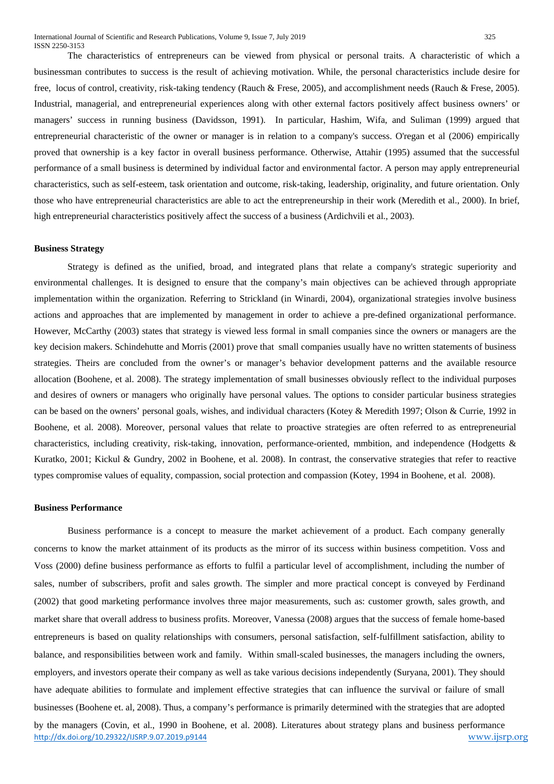The characteristics of entrepreneurs can be viewed from physical or personal traits. A characteristic of which a businessman contributes to success is the result of achieving motivation. While, the personal characteristics include desire for free, locus of control, creativity, risk-taking tendency (Rauch & Frese, 2005), and accomplishment needs (Rauch & Frese, 2005). Industrial, managerial, and entrepreneurial experiences along with other external factors positively affect business owners' or managers' success in running business (Davidsson, 1991). In particular, Hashim, Wifa, and Suliman (1999) argued that entrepreneurial characteristic of the owner or manager is in relation to a company's success. O'regan et al (2006) empirically proved that ownership is a key factor in overall business performance. Otherwise, Attahir (1995) assumed that the successful performance of a small business is determined by individual factor and environmental factor. A person may apply entrepreneurial characteristics, such as self-esteem, task orientation and outcome, risk-taking, leadership, originality, and future orientation. Only those who have entrepreneurial characteristics are able to act the entrepreneurship in their work (Meredith et al., 2000). In brief, high entrepreneurial characteristics positively affect the success of a business (Ardichvili et al., 2003).

## **Business Strategy**

Strategy is defined as the unified, broad, and integrated plans that relate a company's strategic superiority and environmental challenges. It is designed to ensure that the company's main objectives can be achieved through appropriate implementation within the organization. Referring to Strickland (in Winardi, 2004), organizational strategies involve business actions and approaches that are implemented by management in order to achieve a pre-defined organizational performance. However, McCarthy (2003) states that strategy is viewed less formal in small companies since the owners or managers are the key decision makers. Schindehutte and Morris (2001) prove that small companies usually have no written statements of business strategies. Theirs are concluded from the owner's or manager's behavior development patterns and the available resource allocation (Boohene, et al. 2008). The strategy implementation of small businesses obviously reflect to the individual purposes and desires of owners or managers who originally have personal values. The options to consider particular business strategies can be based on the owners' personal goals, wishes, and individual characters (Kotey & Meredith 1997; Olson & Currie, 1992 in Boohene, et al. 2008). Moreover, personal values that relate to proactive strategies are often referred to as entrepreneurial characteristics, including creativity, risk-taking, innovation, performance-oriented, mmbition, and independence (Hodgetts & Kuratko, 2001; Kickul & Gundry, 2002 in Boohene, et al. 2008). In contrast, the conservative strategies that refer to reactive types compromise values of equality, compassion, social protection and compassion (Kotey, 1994 in Boohene, et al. 2008).

# **Business Performance**

Business performance is a concept to measure the market achievement of a product. Each company generally concerns to know the market attainment of its products as the mirror of its success within business competition. Voss and Voss (2000) define business performance as efforts to fulfil a particular level of accomplishment, including the number of sales, number of subscribers, profit and sales growth. The simpler and more practical concept is conveyed by Ferdinand (2002) that good marketing performance involves three major measurements, such as: customer growth, sales growth, and market share that overall address to business profits. Moreover, Vanessa (2008) argues that the success of female home-based entrepreneurs is based on quality relationships with consumers, personal satisfaction, self-fulfillment satisfaction, ability to balance, and responsibilities between work and family. Within small-scaled businesses, the managers including the owners, employers, and investors operate their company as well as take various decisions independently (Suryana, 2001). They should have adequate abilities to formulate and implement effective strategies that can influence the survival or failure of small businesses (Boohene et. al, 2008). Thus, a company's performance is primarily determined with the strategies that are adopted by the managers (Covin, et al., 1990 in Boohene, et al. 2008). Literatures about strategy plans and business performance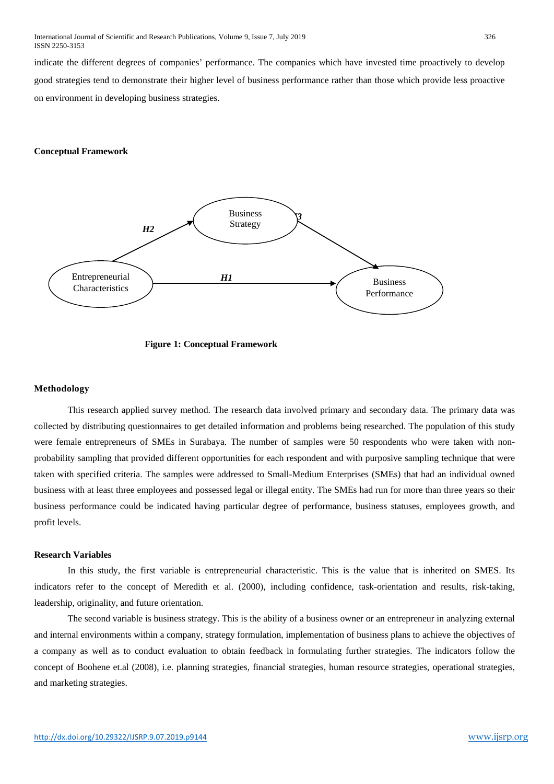indicate the different degrees of companies' performance. The companies which have invested time proactively to develop good strategies tend to demonstrate their higher level of business performance rather than those which provide less proactive on environment in developing business strategies.

## **Conceptual Framework**



 **Figure 1: Conceptual Framework**

## **Methodology**

This research applied survey method. The research data involved primary and secondary data. The primary data was collected by distributing questionnaires to get detailed information and problems being researched. The population of this study were female entrepreneurs of SMEs in Surabaya. The number of samples were 50 respondents who were taken with nonprobability sampling that provided different opportunities for each respondent and with purposive sampling technique that were taken with specified criteria. The samples were addressed to Small-Medium Enterprises (SMEs) that had an individual owned business with at least three employees and possessed legal or illegal entity. The SMEs had run for more than three years so their business performance could be indicated having particular degree of performance, business statuses, employees growth, and profit levels.

# **Research Variables**

In this study, the first variable is entrepreneurial characteristic. This is the value that is inherited on SMES. Its indicators refer to the concept of Meredith et al. (2000), including confidence, task-orientation and results, risk-taking, leadership, originality, and future orientation.

The second variable is business strategy. This is the ability of a business owner or an entrepreneur in analyzing external and internal environments within a company, strategy formulation, implementation of business plans to achieve the objectives of a company as well as to conduct evaluation to obtain feedback in formulating further strategies. The indicators follow the concept of Boohene et.al (2008), i.e. planning strategies, financial strategies, human resource strategies, operational strategies, and marketing strategies.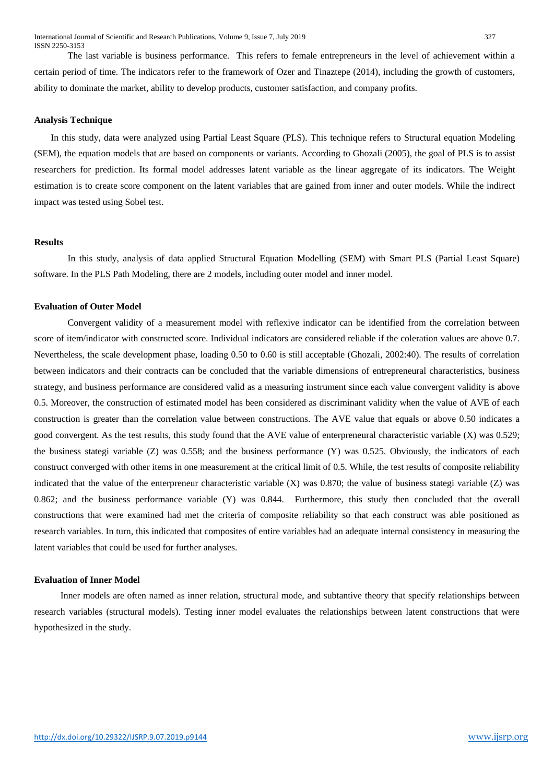The last variable is business performance. This refers to female entrepreneurs in the level of achievement within a certain period of time. The indicators refer to the framework of Ozer and Tinaztepe (2014), including the growth of customers, ability to dominate the market, ability to develop products, customer satisfaction, and company profits.

# **Analysis Technique**

In this study, data were analyzed using Partial Least Square (PLS). This technique refers to Structural equation Modeling (SEM), the equation models that are based on components or variants. According to Ghozali (2005), the goal of PLS is to assist researchers for prediction. Its formal model addresses latent variable as the linear aggregate of its indicators. The Weight estimation is to create score component on the latent variables that are gained from inner and outer models. While the indirect impact was tested using Sobel test.

#### **Results**

In this study, analysis of data applied Structural Equation Modelling (SEM) with Smart PLS (Partial Least Square) software. In the PLS Path Modeling, there are 2 models, including outer model and inner model.

# **Evaluation of Outer Model**

Convergent validity of a measurement model with reflexive indicator can be identified from the correlation between score of item/indicator with constructed score. Individual indicators are considered reliable if the coleration values are above 0.7. Nevertheless, the scale development phase, loading 0.50 to 0.60 is still acceptable (Ghozali, 2002:40). The results of correlation between indicators and their contracts can be concluded that the variable dimensions of entrepreneural characteristics, business strategy, and business performance are considered valid as a measuring instrument since each value convergent validity is above 0.5. Moreover, the construction of estimated model has been considered as discriminant validity when the value of AVE of each construction is greater than the correlation value between constructions. The AVE value that equals or above 0.50 indicates a good convergent. As the test results, this study found that the AVE value of enterpreneural characteristic variable (X) was 0.529; the business stategi variable (Z) was 0.558; and the business performance (Y) was 0.525. Obviously, the indicators of each construct converged with other items in one measurement at the critical limit of 0.5. While, the test results of composite reliability indicated that the value of the enterpreneur characteristic variable (X) was 0.870; the value of business stategi variable (Z) was 0.862; and the business performance variable (Y) was 0.844. Furthermore, this study then concluded that the overall constructions that were examined had met the criteria of composite reliability so that each construct was able positioned as research variables. In turn, this indicated that composites of entire variables had an adequate internal consistency in measuring the latent variables that could be used for further analyses.

## **Evaluation of Inner Model**

Inner models are often named as inner relation, structural mode, and subtantive theory that specify relationships between research variables (structural models). Testing inner model evaluates the relationships between latent constructions that were hypothesized in the study.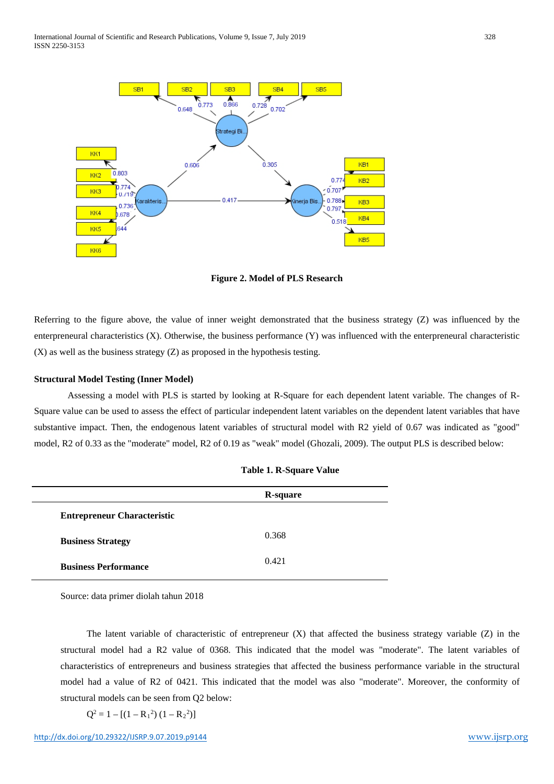

**Figure 2. Model of PLS Research**

Referring to the figure above, the value of inner weight demonstrated that the business strategy (Z) was influenced by the enterpreneural characteristics (X). Otherwise, the business performance (Y) was influenced with the enterpreneural characteristic (X) as well as the business strategy (Z) as proposed in the hypothesis testing.

# **Structural Model Testing (Inner Model)**

Assessing a model with PLS is started by looking at R-Square for each dependent latent variable. The changes of R-Square value can be used to assess the effect of particular independent latent variables on the dependent latent variables that have substantive impact. Then, the endogenous latent variables of structural model with R2 yield of 0.67 was indicated as "good" model, R2 of 0.33 as the "moderate" model, R2 of 0.19 as "weak" model (Ghozali, 2009). The output PLS is described below:

|                                    | <b>R-square</b> |  |
|------------------------------------|-----------------|--|
| <b>Entrepreneur Characteristic</b> |                 |  |
| <b>Business Strategy</b>           | 0.368           |  |
| <b>Business Performance</b>        | 0.421           |  |

|  |  | Table 1. R-Square Value |  |
|--|--|-------------------------|--|
|--|--|-------------------------|--|

Source: data primer diolah tahun 2018

The latent variable of characteristic of entrepreneur  $(X)$  that affected the business strategy variable  $(Z)$  in the structural model had a R2 value of 0368. This indicated that the model was "moderate". The latent variables of characteristics of entrepreneurs and business strategies that affected the business performance variable in the structural model had a value of R2 of 0421. This indicated that the model was also "moderate". Moreover, the conformity of structural models can be seen from Q2 below:

 $Q^2 = 1 - [(1 - R_1^2) (1 - R_2^2)]$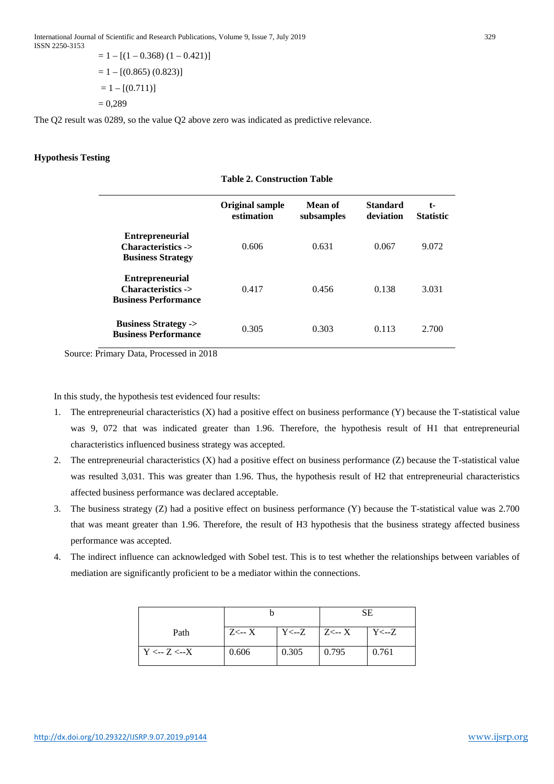$= 1 - [(1 - 0.368) (1 - 0.421)]$  $= 1 - [(0.865) (0.823)]$  $= 1 - [(0.711)]$  $= 0.289$ 

The Q2 result was 0289, so the value Q2 above zero was indicated as predictive relevance.

# **Hypothesis Testing**

|                                                                             | <b>Original sample</b><br>estimation | Mean of<br>subsamples | <b>Standard</b><br>deviation | t-<br><b>Statistic</b> |
|-----------------------------------------------------------------------------|--------------------------------------|-----------------------|------------------------------|------------------------|
| <b>Entrepreneurial</b><br>Characteristics -><br><b>Business Strategy</b>    | 0.606                                | 0.631                 | 0.067                        | 9.072                  |
| <b>Entrepreneurial</b><br>Characteristics -><br><b>Business Performance</b> | 0.417                                | 0.456                 | 0.138                        | 3.031                  |
| <b>Business Strategy -&gt;</b><br><b>Business Performance</b>               | 0.305                                | 0.303                 | 0.113                        | 2.700                  |

# **Table 2. Construction Table**

Source: Primary Data, Processed in 2018

In this study, the hypothesis test evidenced four results:

- 1. The entrepreneurial characteristics (X) had a positive effect on business performance (Y) because the T-statistical value was 9, 072 that was indicated greater than 1.96. Therefore, the hypothesis result of H1 that entrepreneurial characteristics influenced business strategy was accepted.
- 2. The entrepreneurial characteristics (X) had a positive effect on business performance (Z) because the T-statistical value was resulted 3,031. This was greater than 1.96. Thus, the hypothesis result of H2 that entrepreneurial characteristics affected business performance was declared acceptable.
- 3. The business strategy (Z) had a positive effect on business performance (Y) because the T-statistical value was 2.700 that was meant greater than 1.96. Therefore, the result of H3 hypothesis that the business strategy affected business performance was accepted.
- 4. The indirect influence can acknowledged with Sobel test. This is to test whether the relationships between variables of mediation are significantly proficient to be a mediator within the connections.

|                               |                  |          | SЕ               |          |
|-------------------------------|------------------|----------|------------------|----------|
| Path                          | $Z \leftarrow X$ | $Y < -Z$ | $Z \leftarrow X$ | $Y < -Z$ |
| $Y \leftarrow Z \leftarrow X$ | 0.606            | 0.305    | 0.795            | 0.761    |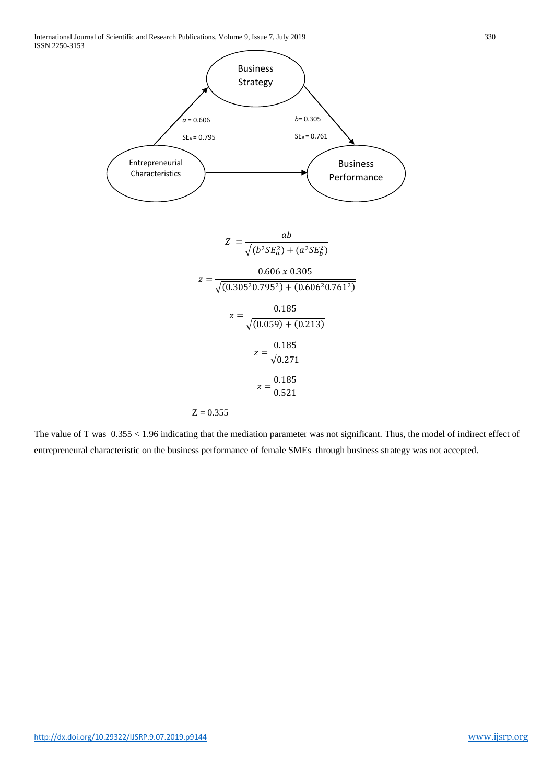

The value of T was 0.355 < 1.96 indicating that the mediation parameter was not significant. Thus, the model of indirect effect of entrepreneural characteristic on the business performance of female SMEs through business strategy was not accepted.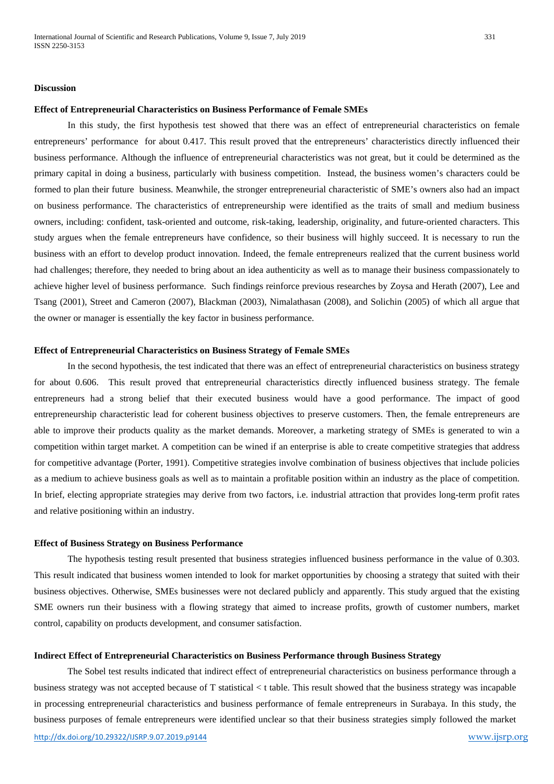### **Effect of Entrepreneurial Characteristics on Business Performance of Female SMEs**

In this study, the first hypothesis test showed that there was an effect of entrepreneurial characteristics on female entrepreneurs' performance for about 0.417. This result proved that the entrepreneurs' characteristics directly influenced their business performance. Although the influence of entrepreneurial characteristics was not great, but it could be determined as the primary capital in doing a business, particularly with business competition. Instead, the business women's characters could be formed to plan their future business. Meanwhile, the stronger entrepreneurial characteristic of SME's owners also had an impact on business performance. The characteristics of entrepreneurship were identified as the traits of small and medium business owners, including: confident, task-oriented and outcome, risk-taking, leadership, originality, and future-oriented characters. This study argues when the female entrepreneurs have confidence, so their business will highly succeed. It is necessary to run the business with an effort to develop product innovation. Indeed, the female entrepreneurs realized that the current business world had challenges; therefore, they needed to bring about an idea authenticity as well as to manage their business compassionately to achieve higher level of business performance. Such findings reinforce previous researches by Zoysa and Herath (2007), Lee and Tsang (2001), Street and Cameron (2007), Blackman (2003), Nimalathasan (2008), and Solichin (2005) of which all argue that the owner or manager is essentially the key factor in business performance.

# **Effect of Entrepreneurial Characteristics on Business Strategy of Female SMEs**

In the second hypothesis, the test indicated that there was an effect of entrepreneurial characteristics on business strategy for about 0.606. This result proved that entrepreneurial characteristics directly influenced business strategy. The female entrepreneurs had a strong belief that their executed business would have a good performance. The impact of good entrepreneurship characteristic lead for coherent business objectives to preserve customers. Then, the female entrepreneurs are able to improve their products quality as the market demands. Moreover, a marketing strategy of SMEs is generated to win a competition within target market. A competition can be wined if an enterprise is able to create competitive strategies that address for competitive advantage (Porter, 1991). Competitive strategies involve combination of business objectives that include policies as a medium to achieve business goals as well as to maintain a profitable position within an industry as the place of competition. In brief, electing appropriate strategies may derive from two factors, i.e. industrial attraction that provides long-term profit rates and relative positioning within an industry.

## **Effect of Business Strategy on Business Performance**

The hypothesis testing result presented that business strategies influenced business performance in the value of 0.303. This result indicated that business women intended to look for market opportunities by choosing a strategy that suited with their business objectives. Otherwise, SMEs businesses were not declared publicly and apparently. This study argued that the existing SME owners run their business with a flowing strategy that aimed to increase profits, growth of customer numbers, market control, capability on products development, and consumer satisfaction.

## **Indirect Effect of Entrepreneurial Characteristics on Business Performance through Business Strategy**

The Sobel test results indicated that indirect effect of entrepreneurial characteristics on business performance through a business strategy was not accepted because of T statistical < t table. This result showed that the business strategy was incapable in processing entrepreneurial characteristics and business performance of female entrepreneurs in Surabaya. In this study, the business purposes of female entrepreneurs were identified unclear so that their business strategies simply followed the market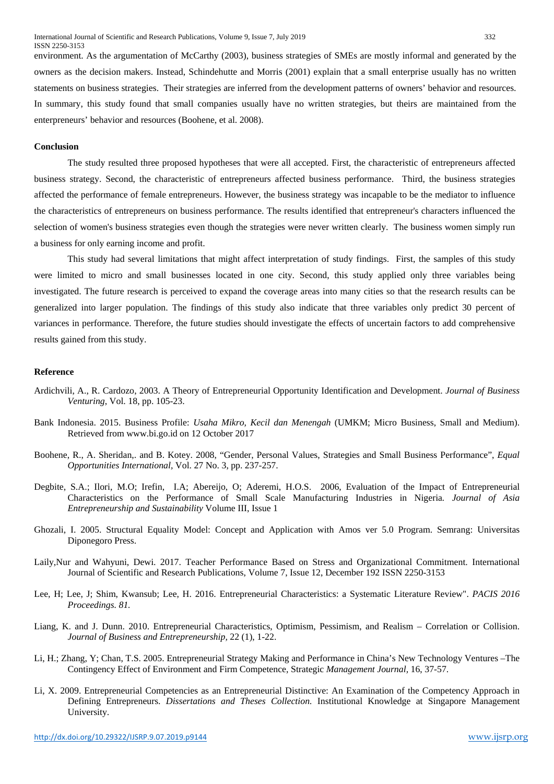environment. As the argumentation of McCarthy (2003), business strategies of SMEs are mostly informal and generated by the owners as the decision makers. Instead, Schindehutte and Morris (2001) explain that a small enterprise usually has no written statements on business strategies. Their strategies are inferred from the development patterns of owners' behavior and resources. In summary, this study found that small companies usually have no written strategies, but theirs are maintained from the enterpreneurs' behavior and resources (Boohene, et al. 2008).

# **Conclusion**

The study resulted three proposed hypotheses that were all accepted. First, the characteristic of entrepreneurs affected business strategy. Second, the characteristic of entrepreneurs affected business performance. Third, the business strategies affected the performance of female entrepreneurs. However, the business strategy was incapable to be the mediator to influence the characteristics of entrepreneurs on business performance. The results identified that entrepreneur's characters influenced the selection of women's business strategies even though the strategies were never written clearly. The business women simply run a business for only earning income and profit.

This study had several limitations that might affect interpretation of study findings. First, the samples of this study were limited to micro and small businesses located in one city. Second, this study applied only three variables being investigated. The future research is perceived to expand the coverage areas into many cities so that the research results can be generalized into larger population. The findings of this study also indicate that three variables only predict 30 percent of variances in performance. Therefore, the future studies should investigate the effects of uncertain factors to add comprehensive results gained from this study.

# **Reference**

- Ardichvili, A., R. Cardozo, 2003. A Theory of Entrepreneurial Opportunity Identification and Development. *Journal of Business Venturing*, Vol. 18, pp. 105-23.
- Bank Indonesia. 2015. Business Profile: *Usaha Mikro, Kecil dan Menengah* (UMKM; Micro Business, Small and Medium). Retrieved from www.bi.go.id on 12 October 2017
- Boohene, R., A. Sheridan,. and B. Kotey. 2008, "Gender, Personal Values, Strategies and Small Business Performance", *Equal Opportunities International,* Vol. 27 No. 3, pp. 237-257.
- Degbite, S.A.; Ilori, M.O; Irefin, I.A; Abereijo, O; Aderemi, H.O.S. 2006, Evaluation of the Impact of Entrepreneurial Characteristics on the Performance of Small Scale Manufacturing Industries in Nigeria*. Journal of Asia Entrepreneurship and Sustainability* Volume III, Issue 1
- Ghozali, I. 2005. Structural Equality Model: Concept and Application with Amos ver 5.0 Program. Semrang: Universitas Diponegoro Press.
- Laily,Nur and Wahyuni, Dewi. 2017. Teacher Performance Based on Stress and Organizational Commitment. International Journal of Scientific and Research Publications, Volume 7, Issue 12, December 192 ISSN 2250-3153
- Lee, H; Lee, J; Shim, Kwansub; Lee, H. 2016. Entrepreneurial Characteristics: a Systematic Literature Review". *PACIS 2016 Proceedings. 81.*
- Liang, K. and J. Dunn. 2010. Entrepreneurial Characteristics, Optimism, Pessimism, and Realism Correlation or Collision. *Journal of Business and Entrepreneurship,* 22 (1), 1-22.
- Li, H.; Zhang, Y; Chan, T.S. 2005. Entrepreneurial Strategy Making and Performance in China's New Technology Ventures –The Contingency Effect of Environment and Firm Competence, Strategic *Management Journal,* 16, 37-57.
- Li, X. 2009. Entrepreneurial Competencies as an Entrepreneurial Distinctive: An Examination of the Competency Approach in Defining Entrepreneurs. *Dissertations and Theses Collection.* Institutional Knowledge at Singapore Management University.